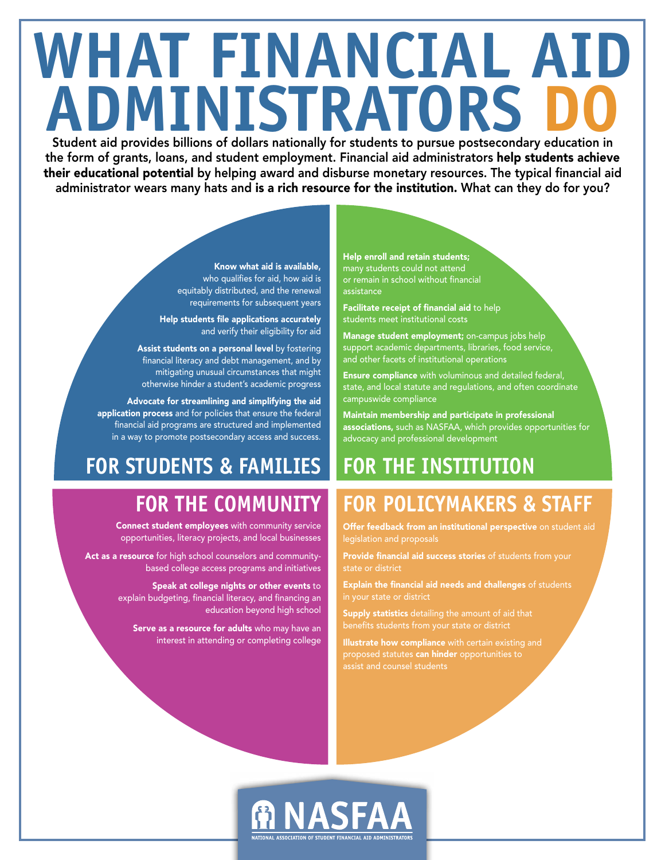## **WHAT FINANCIAL AID ADMINISTRATORS ADMINISTRATORS DO**<br>Student aid provides billions of dollars nationally for students to pursue postsecondary education in

the form of grants, loans, and student employment. Financial aid administrators help students achieve their educational potential by helping award and disburse monetary resources. The typical financial aid administrator wears many hats and is a rich resource for the institution. What can they do for you?

> Know what aid is available, who qualifies for aid, how aid is equitably distributed, and the renewal requirements for subsequent years

Help students file applications accurately and verify their eligibility for aid

Assist students on a personal level by fostering financial literacy and debt management, and by mitigating unusual circumstances that might otherwise hinder a student's academic progress

Advocate for streamlining and simplifying the aid application process and for policies that ensure the federal financial aid programs are structured and implemented in a way to promote postsecondary access and success.

### **FOR STUDENTS & FAMILIES**

#### **FOR THE COMMUNITY**

Connect student employees with community service opportunities, literacy projects, and local businesses

Act as a resource for high school counselors and communitybased college access programs and initiatives

> Speak at college nights or other events to explain budgeting, financial literacy, and financing an education beyond high school

Serve as a resource for adults who may have an interest in attending or completing college

Help enroll and retain students; many students could not attend or remain in school without financial assistance

Facilitate receipt of financial aid to help students meet institutional costs

Manage student employment; on-campus jobs help support academic departments, libraries, food service, and other facets of institutional operations

Ensure compliance with voluminous and detailed federal, state, and local statute and regulations, and often coordinate campuswide compliance

Maintain membership and participate in professional associations, such as NASFAA, which provides opportunities for advocacy and professional development

### **FOR THE INSTITUTION**

### **FOR POLICYMAKERS & STAFF**

Offer feedback from an institutional perspective on student aid legislation and proposals

Provide financial aid success stories of students from your state or district

Explain the financial aid needs and challenges of students

Supply statistics detailing the amount of aid that

Illustrate how compliance with certain existing and proposed statutes can hinder opportunities to assist and counsel students